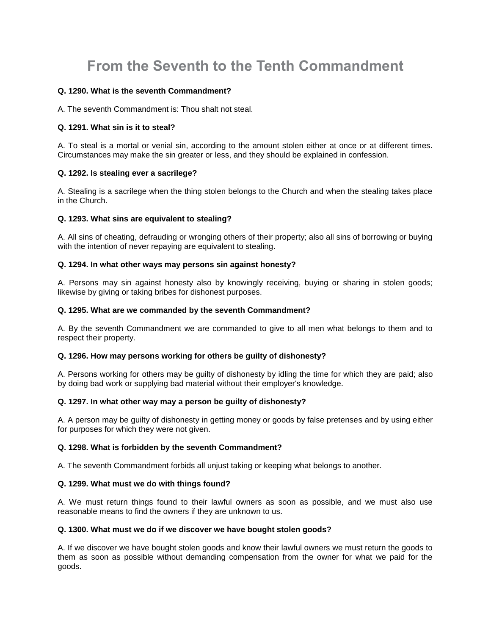# **From the Seventh to the Tenth Commandment**

# **Q. 1290. What is the seventh Commandment?**

A. The seventh Commandment is: Thou shalt not steal.

# **Q. 1291. What sin is it to steal?**

A. To steal is a mortal or venial sin, according to the amount stolen either at once or at different times. Circumstances may make the sin greater or less, and they should be explained in confession.

## **Q. 1292. Is stealing ever a sacrilege?**

A. Stealing is a sacrilege when the thing stolen belongs to the Church and when the stealing takes place in the Church.

## **Q. 1293. What sins are equivalent to stealing?**

A. All sins of cheating, defrauding or wronging others of their property; also all sins of borrowing or buying with the intention of never repaying are equivalent to stealing.

## **Q. 1294. In what other ways may persons sin against honesty?**

A. Persons may sin against honesty also by knowingly receiving, buying or sharing in stolen goods; likewise by giving or taking bribes for dishonest purposes.

## **Q. 1295. What are we commanded by the seventh Commandment?**

A. By the seventh Commandment we are commanded to give to all men what belongs to them and to respect their property.

## **Q. 1296. How may persons working for others be guilty of dishonesty?**

A. Persons working for others may be guilty of dishonesty by idling the time for which they are paid; also by doing bad work or supplying bad material without their employer's knowledge.

# **Q. 1297. In what other way may a person be guilty of dishonesty?**

A. A person may be guilty of dishonesty in getting money or goods by false pretenses and by using either for purposes for which they were not given.

## **Q. 1298. What is forbidden by the seventh Commandment?**

A. The seventh Commandment forbids all unjust taking or keeping what belongs to another.

## **Q. 1299. What must we do with things found?**

A. We must return things found to their lawful owners as soon as possible, and we must also use reasonable means to find the owners if they are unknown to us.

## **Q. 1300. What must we do if we discover we have bought stolen goods?**

A. If we discover we have bought stolen goods and know their lawful owners we must return the goods to them as soon as possible without demanding compensation from the owner for what we paid for the goods.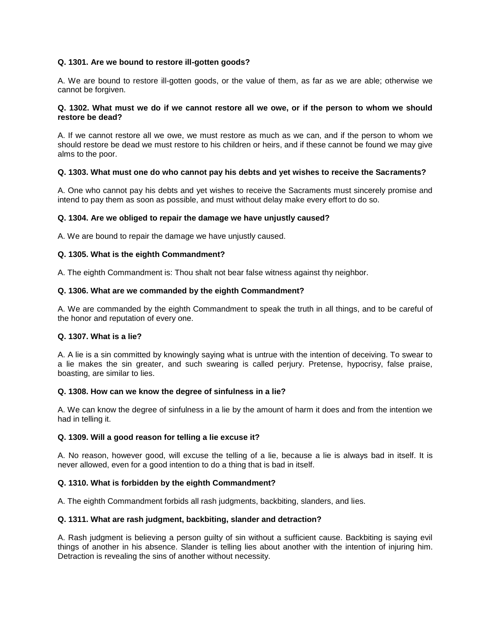# **Q. 1301. Are we bound to restore ill-gotten goods?**

A. We are bound to restore ill-gotten goods, or the value of them, as far as we are able; otherwise we cannot be forgiven.

## **Q. 1302. What must we do if we cannot restore all we owe, or if the person to whom we should restore be dead?**

A. If we cannot restore all we owe, we must restore as much as we can, and if the person to whom we should restore be dead we must restore to his children or heirs, and if these cannot be found we may give alms to the poor.

## **Q. 1303. What must one do who cannot pay his debts and yet wishes to receive the Sacraments?**

A. One who cannot pay his debts and yet wishes to receive the Sacraments must sincerely promise and intend to pay them as soon as possible, and must without delay make every effort to do so.

#### **Q. 1304. Are we obliged to repair the damage we have unjustly caused?**

A. We are bound to repair the damage we have unjustly caused.

#### **Q. 1305. What is the eighth Commandment?**

A. The eighth Commandment is: Thou shalt not bear false witness against thy neighbor.

#### **Q. 1306. What are we commanded by the eighth Commandment?**

A. We are commanded by the eighth Commandment to speak the truth in all things, and to be careful of the honor and reputation of every one.

#### **Q. 1307. What is a lie?**

A. A lie is a sin committed by knowingly saying what is untrue with the intention of deceiving. To swear to a lie makes the sin greater, and such swearing is called perjury. Pretense, hypocrisy, false praise, boasting, are similar to lies.

#### **Q. 1308. How can we know the degree of sinfulness in a lie?**

A. We can know the degree of sinfulness in a lie by the amount of harm it does and from the intention we had in telling it.

#### **Q. 1309. Will a good reason for telling a lie excuse it?**

A. No reason, however good, will excuse the telling of a lie, because a lie is always bad in itself. It is never allowed, even for a good intention to do a thing that is bad in itself.

## **Q. 1310. What is forbidden by the eighth Commandment?**

A. The eighth Commandment forbids all rash judgments, backbiting, slanders, and lies.

#### **Q. 1311. What are rash judgment, backbiting, slander and detraction?**

A. Rash judgment is believing a person guilty of sin without a sufficient cause. Backbiting is saying evil things of another in his absence. Slander is telling lies about another with the intention of injuring him. Detraction is revealing the sins of another without necessity.